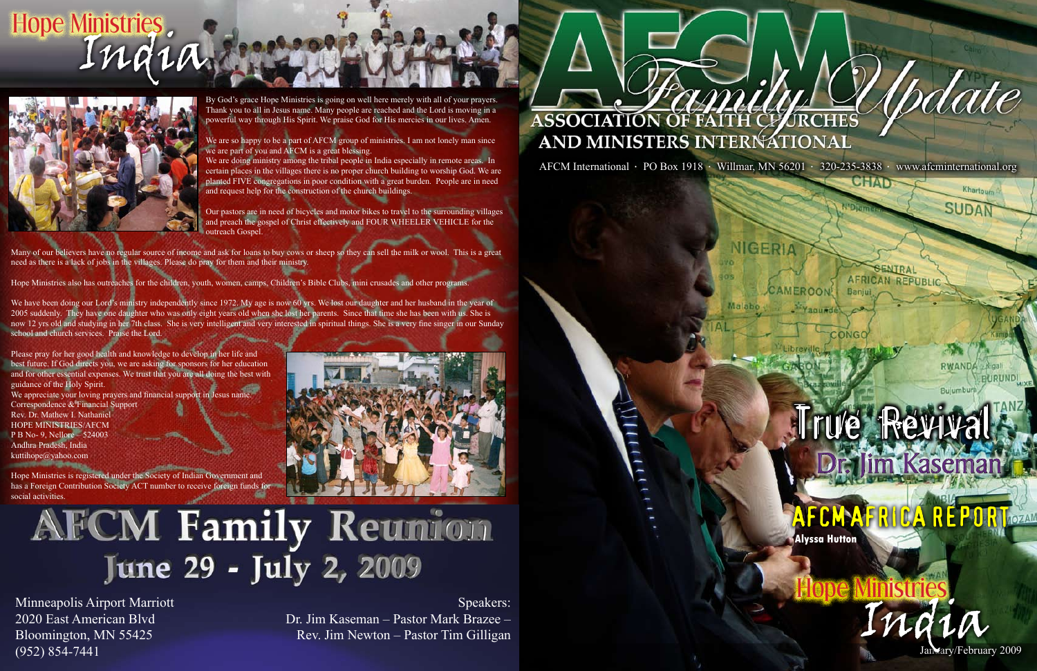

# Hope Ministries.



By God's grace Hope Ministries is going on well here merely with all of your prayers. Thank you to all in Jesus name. Many people are reached and the Lord is moving in a powerful way through His Spirit. We praise God for His mercies in our lives. Amen.

We are so happy to be a part of AFCM group of ministries. I am not lonely man since we are part of you and AFCM is a great blessing.

We are doing ministry among the tribal people in India especially in remote areas. In certain places in the villages there is no proper church building to worship God. We are planted FIVE congregations in poor condition with a great burden. People are in need and request help for the construction of the church buildings.

Our pastors are in need of bicycles and motor bikes to travel to the surrounding villages and preach the gospel of Christ effectively and FOUR WHEELER VEHICLE for the outreach Gospel.

Many of our believers have no regular source of income and ask for loans to buy cows or sheep so they can sell the milk or wool. This is a great need as there is a lack of jobs in the villages. Please do pray for them and their ministry.

Hope Ministries also has outreaches for the children, youth, women, camps, Children's Bible Clubs, mini crusades and other programs.

Hope Ministries is registered under the Society of Indian Government and has a Foreign Contribution Society ACT number to receive foreign funds for social activities



### **AFCM Family Reunion** June 29 - July 2, 2009

We have been doing our Lord's ministry independently since 1972. My age is now 60 yrs. We lost our daughter and her husband in the year of 2005 suddenly. They have one daughter who was only eight years old when she lost her parents. Since that time she has been with us. She is now 12 yrs old and studying in her 7th class. She is very intelligent and very interested in spiritual things. She is a very fine singer in our Sunday school and church services. Praise the Lord.

Please pray for her good health and knowledge to develop in her life and best future. If God directs you, we are asking for sponsors for her education and for other essential expenses. We trust that you are all doing the best with guidance of the Holy Spirit. We appreciate your loving prayers and financial support in Jesus name. Correspondence & Financial Support Rev. Dr. Mathew I. Nathaniel HOPE MINISTRIES/AFCM P B No- 9, Nellore – 524003 Andhra Pradesh, India kuttihope@yahoo.com

## True Revival Dr. Jim Kaseman



India

Minneapolis Airport Marriott 2020 East American Blvd Bloomington, MN 55425 (952) 854-7441

Speakers: Dr. Jim Kaseman – Pastor Mark Brazee – Rev. Jim Newton – Pastor Tim Gilligan

# ASSOCIATION OF FAITH CLARICHES AND MINISTERS INTERNATIONAL

AFCM International • PO Box 1918 • Willmar, MN 56201 • 320-235-3838 • www.afcminternational.org

**CAMEROON!** 

*AQUEST* 

NIGERIA

#### **AFRICAN REPUBLIC** Banjui

CHAI

*(pdate* 

Khartoum

**SUDAN** 

RWANDA